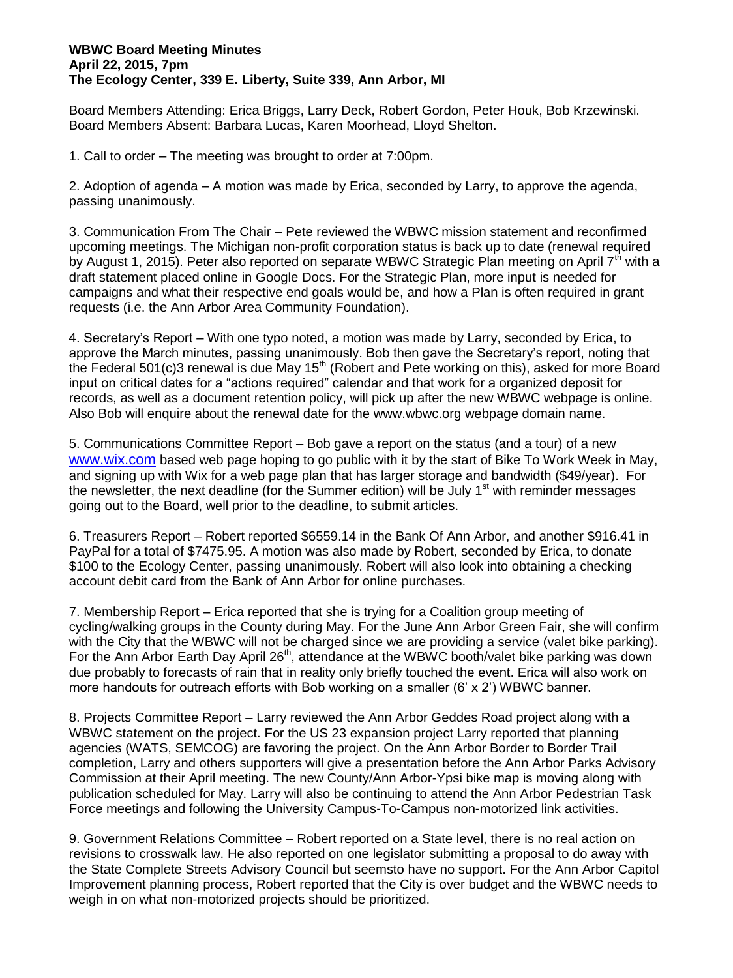## **WBWC Board Meeting Minutes April 22, 2015, 7pm The Ecology Center, 339 E. Liberty, Suite 339, Ann Arbor, MI**

Board Members Attending: Erica Briggs, Larry Deck, Robert Gordon, Peter Houk, Bob Krzewinski. Board Members Absent: Barbara Lucas, Karen Moorhead, Lloyd Shelton.

1. Call to order – The meeting was brought to order at 7:00pm.

2. Adoption of agenda – A motion was made by Erica, seconded by Larry, to approve the agenda, passing unanimously.

3. Communication From The Chair – Pete reviewed the WBWC mission statement and reconfirmed upcoming meetings. The Michigan non-profit corporation status is back up to date (renewal required by August 1, 2015). Peter also reported on separate WBWC Strategic Plan meeting on April 7<sup>th</sup> with a draft statement placed online in Google Docs. For the Strategic Plan, more input is needed for campaigns and what their respective end goals would be, and how a Plan is often required in grant requests (i.e. the Ann Arbor Area Community Foundation).

4. Secretary's Report – With one typo noted, a motion was made by Larry, seconded by Erica, to approve the March minutes, passing unanimously. Bob then gave the Secretary's report, noting that the Federal 501(c)3 renewal is due May 15<sup>th</sup> (Robert and Pete working on this), asked for more Board input on critical dates for a "actions required" calendar and that work for a organized deposit for records, as well as a document retention policy, will pick up after the new WBWC webpage is online. Also Bob will enquire about the renewal date for the www.wbwc.org webpage domain name.

5. Communications Committee Report – Bob gave a report on the status (and a tour) of a new [www.wix.com](http://www.wix.com/) based web page hoping to go public with it by the start of Bike To Work Week in May, and signing up with Wix for a web page plan that has larger storage and bandwidth (\$49/year). For the newsletter, the next deadline (for the Summer edition) will be July  $1<sup>st</sup>$  with reminder messages going out to the Board, well prior to the deadline, to submit articles.

6. Treasurers Report – Robert reported \$6559.14 in the Bank Of Ann Arbor, and another \$916.41 in PayPal for a total of \$7475.95. A motion was also made by Robert, seconded by Erica, to donate \$100 to the Ecology Center, passing unanimously. Robert will also look into obtaining a checking account debit card from the Bank of Ann Arbor for online purchases.

7. Membership Report – Erica reported that she is trying for a Coalition group meeting of cycling/walking groups in the County during May. For the June Ann Arbor Green Fair, she will confirm with the City that the WBWC will not be charged since we are providing a service (valet bike parking). For the Ann Arbor Earth Day April 26<sup>th</sup>, attendance at the WBWC booth/valet bike parking was down due probably to forecasts of rain that in reality only briefly touched the event. Erica will also work on more handouts for outreach efforts with Bob working on a smaller (6' x 2') WBWC banner.

8. Projects Committee Report – Larry reviewed the Ann Arbor Geddes Road project along with a WBWC statement on the project. For the US 23 expansion project Larry reported that planning agencies (WATS, SEMCOG) are favoring the project. On the Ann Arbor Border to Border Trail completion, Larry and others supporters will give a presentation before the Ann Arbor Parks Advisory Commission at their April meeting. The new County/Ann Arbor-Ypsi bike map is moving along with publication scheduled for May. Larry will also be continuing to attend the Ann Arbor Pedestrian Task Force meetings and following the University Campus-To-Campus non-motorized link activities.

9. Government Relations Committee – Robert reported on a State level, there is no real action on revisions to crosswalk law. He also reported on one legislator submitting a proposal to do away with the State Complete Streets Advisory Council but seemsto have no support. For the Ann Arbor Capitol Improvement planning process, Robert reported that the City is over budget and the WBWC needs to weigh in on what non-motorized projects should be prioritized.